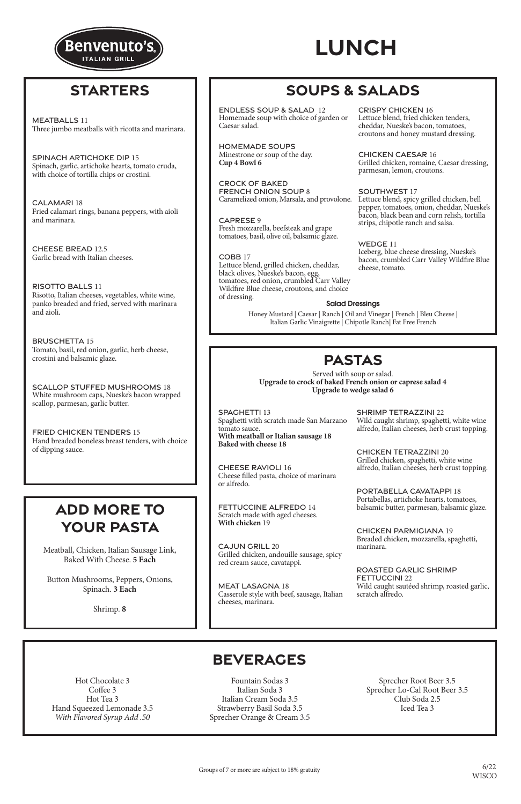### Salad Dressings

Honey Mustard | Caesar | Ranch | Oil and Vinegar | French | Bleu Cheese | Italian Garlic Vinaigrette | Chipotle Ranch| Fat Free French

### **PASTAS**

Served with soup or salad. **Upgrade to crock of baked French onion or caprese salad 4 Upgrade to wedge salad 6**

### **BEVERAGES**

Hot Chocolate 3 Coffee 3 Hot Tea 3 Hand Squeezed Lemonade 3.5 *With Flavored Syrup Add .50*

> 6/22 **WISCO**

Fountain Sodas 3 Italian Soda 3 Italian Cream Soda 3.5 Strawberry Basil Soda 3.5 Sprecher Orange & Cream 3.5

Sprecher Root Beer 3.5 Sprecher Lo-Cal Root Beer 3.5 Club Soda 2.5 Iced Tea 3

Groups of 7 or more are subject to 18% gratuity

Meatball, Chicken, Italian Sausage Link, Baked With Cheese. **5 Each**

Button Mushrooms, Peppers, Onions, Spinach. **3 Each**

Shrimp. **8**

# **SOUPS & SALADS**

## **ADD MORE TO YOUR PASTA**

### **STARTERS**



CRISPY CHICKEN 16

COBB 17 Lettuce blend, grilled chicken, cheddar, black olives, Nueske's bacon, egg, tomatoes, red onion, crumbled Carr Valley Wildfire Blue cheese, croutons, and choice of dressing. Bowl 6<br>
Salad Dressings<br>
SALA CH ONION SOUP 8<br>
Example 1989<br>
Example 1989<br>
ESE 9<br>
Inozzarella, beefsteak and grape<br>
ESE 9<br>
Inozzarella, beefsteak and grape<br>
es, basil, olive oil, balsamic glaze.<br>
WEDC<br>
Iceberg<br>
Bind, grill

Lettuce blend, fried chicken tenders, cheddar, Nueske's bacon, tomatoes, croutons and honey mustard dressing.

CHICKEN CAESAR 16 Grilled chicken, romaine, Caesar dressing, parmesan, lemon, croutons.

### SOUTHWEST 17

Lettuce blend, spicy grilled chicken, bell pepper, tomatoes, onion, cheddar, Nueske's bacon, black bean and corn relish, tortilla strips, chipotle ranch and salsa.

WEDGE 11 Iceberg, blue cheese dressing, Nueske's bacon, crumbled Carr Valley Wildfire Blue cheese, tomato.

ENDLESS SOUP & SALAD 12 Homemade soup with choice of garden or Caesar salad.

HOMEMADE SOUPS Minestrone or soup of the day. **Cup 4 Bowl 6** 

MEAT LASAGNA 18 MEAT LASAGNA 18<br>Casserole style with beef sames the line

CROCK OF BAKED FRENCH ONION SOUP 8 Caramelized onion, Marsala, and provolone.

CAPRESE 9 Fresh mozzarella, beefsteak and grape tomatoes, basil, olive oil, balsamic glaze.

meats in the second state of the second state of the second state of the second state of the second state of the second state of the second state of the second state of the second state of the second state of the second st MEATBALLS 11 Three jumbo meatballs with ricotta and marinara.

RISOTTO BALLS 11<br>Risotto, Italian cheeses, vegetables, white wine, Risotto, Italian cheeses, vegetables, white wine, panko breaded and fried, served with marinara panko breaded and fried, served with marinara and aioli. and aioli. RISOTTO BALLS 11

Tomato, basil, red onion, garlic, herb cheese, crostini and balsamic glaze.  $\epsilon$ BRUSCHETTA 15

White mushroom caps, Nueske's bacon wrapped scallop, parmesan, garlic butter. SCALLOP STUFFED MUSHROOMS 18

Hand breaded boneless breast tenders, with choice<br>of dinning sauce of dipping sauce. FRIED CHICKEN TENDERS 15

SPINACH ARTICHOKE DIP 15 SPINACH ARTICHOKE DIP 15 Spinach, garlic, artichoke hearts, tomato cruda, Spinach, garlic, artichoke hearts, tomato cruda,<br>with choice of tortilla chine or crostini. with choice of tortilla chips or crostini.

CALAMARI 18 Fried calamari rings, banana peppers, with aioli Fried calamari rings, banana peppers, with aioli and marinara. and marinara.

> $C_A$  UNICOUL 20 GAJUN GRILL 20<br>Grilled chicken, andouille sausage, spicy Grilled chicken, andouille sausage, spicy CAJUN GRILL 20 red cream sauce, cavatappi.

CHEESE BREAD 12.5 CHEESE BREAD 12.5 Garlic bread with Italian cheeses. Garlic bread with Italian cheeses.

> Casserole style with beef, sausage, Italian cheeses, marinara.

ROASTED GARLIC SHRIMP FETTUCCINI 22 FETTUCCINI 22 Wild caught sautéed shrimp, roasted garlic, Wild caught sautéed shrimp, roasted garlic,

SPAGHETTI 13 SPAGHETTI 13 Spaghetti with scratch made San Marzano Spaghetti with scratch made San Marzano tomato sauce. tomato sauce. With meatball or Italian sausage 18 **Baked with cheese 18**

CHEESE RAVIOLI 16 CHEESE RAVIOLI 16<br>Charles Clerk and the choice of marinara Cheese filled pasta, choice of marinara CHEESE RAVIOLI 16 or alfredo.

FETTUCCINE ALFREDO 14 FETTUCCINE ALFREDO 14 Scratch made with aged cheeses.<br>With chicken <sup>10</sup> **With chicken** 19

SHRIMP TETRAZZINI 22 SHRIMP TETRAZZINI 22 Wild caught shrimp, spaghetti, white wine Wild caught shrimp, spaghetti, white wine alfredo, Italian cheeses, herb crust topping. alfredo, Italian cheeses, herb crust topping.

CHICKEN TETRAZZINI 20 CHICKEN TETRAZZINI 20 Grilled chicken, spaghetti, white wine Grilled chicken, spaghetti, white wine alfredo, Italian cheeses, herb crust topping. alfredo, Italian cheeses, herb crust topping.

PORTABELLA CAVATAPPI 18 PORTABELLA CAVATAPPI 18 Portabellas, artichoke hearts, tomatoes, Portabellas, artichoke hearts, tomatoes, balsamic butter, parmesan, balsamic glaze. balsamic butter, parmesan, balsamic glaze.

CHICKEN PARMIGIANA 19 CHICKEN PARMIGIANA 19 Breaded chicken, mozzarella, spaghetti, Breaded chicken, mozzarella, spaghetti, marinara. marinara.

scratch alfredo. scratch alfredo.